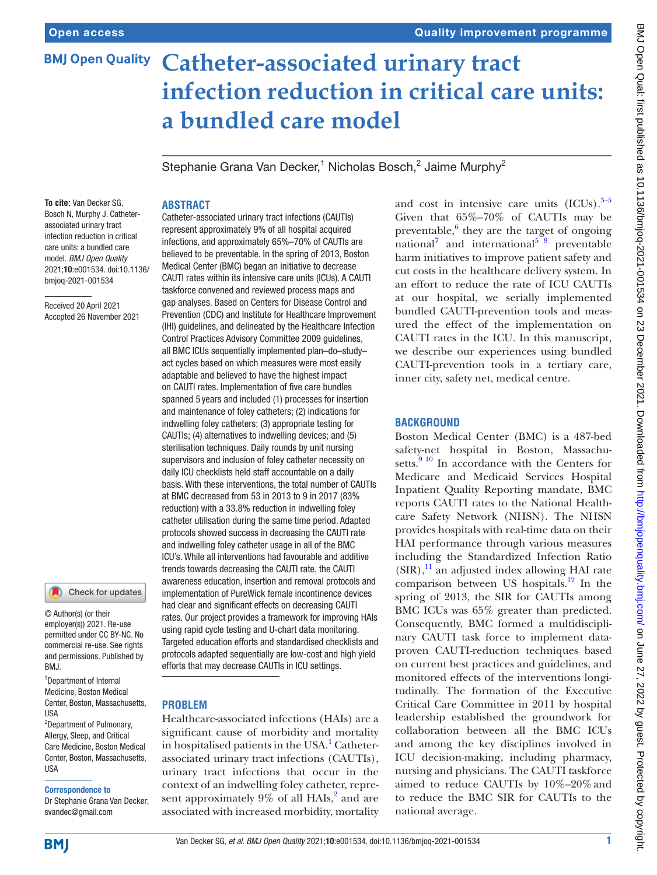# **Catheter-associated urinary tract BMJ Open Quality infection reduction in critical care units: a bundled care model**

Stephanie Grana Van Decker,<sup>1</sup> Nicholas Bosch,<sup>2</sup> Jaime Murphy<sup>2</sup>

#### **To cite:** Van Decker SG, Bosch N, Murphy J. Catheterassociated urinary tract infection reduction in critical care units: a bundled care model. *BMJ Open Quality* 2021;10:e001534. doi:10.1136/ bmjoq-2021-001534

Received 20 April 2021 Accepted 26 November 2021

## Check for updates

© Author(s) (or their employer(s)) 2021. Re-use permitted under CC BY-NC. No commercial re-use. See rights and permissions. Published by BMJ.

1 Department of Internal Medicine, Boston Medical Center, Boston, Massachusetts, USA <sup>2</sup>Department of Pulmonary, Allergy, Sleep, and Critical

Care Medicine, Boston Medical Center, Boston, Massachusetts, USA

#### Correspondence to

Dr Stephanie Grana Van Decker; svandec@gmail.com

# **ABSTRACT**

Catheter-associated urinary tract infections (CAUTIs) represent approximately 9% of all hospital acquired infections, and approximately 65%–70% of CAUTIs are believed to be preventable. In the spring of 2013, Boston Medical Center (BMC) began an initiative to decrease CAUTI rates within its intensive care units (ICUs). A CAUTI taskforce convened and reviewed process maps and gap analyses. Based on Centers for Disease Control and Prevention (CDC) and Institute for Healthcare Improvement (IHI) guidelines, and delineated by the Healthcare Infection Control Practices Advisory Committee 2009 guidelines, all BMC ICUs sequentially implemented plan–do–study– act cycles based on which measures were most easily adaptable and believed to have the highest impact on CAUTI rates. Implementation of five care bundles spanned 5 years and included (1) processes for insertion and maintenance of foley catheters; (2) indications for indwelling foley catheters; (3) appropriate testing for CAUTIs; (4) alternatives to indwelling devices; and (5) sterilisation techniques. Daily rounds by unit nursing supervisors and inclusion of foley catheter necessity on daily ICU checklists held staff accountable on a daily basis. With these interventions, the total number of CAUTIs at BMC decreased from 53 in 2013 to 9 in 2017 (83% reduction) with a 33.8% reduction in indwelling foley catheter utilisation during the same time period. Adapted protocols showed success in decreasing the CAUTI rate and indwelling foley catheter usage in all of the BMC ICU's. While all interventions had favourable and additive trends towards decreasing the CAUTI rate, the CAUTI awareness education, insertion and removal protocols and implementation of PureWick female incontinence devices had clear and significant effects on decreasing CAUTI rates. Our project provides a framework for improving HAIs using rapid cycle testing and U-chart data monitoring. Targeted education efforts and standardised checklists and protocols adapted sequentially are low-cost and high yield efforts that may decrease CAUTIs in ICU settings.

#### **PROBLEM**

Healthcare-associated infections (HAIs) are a significant cause of morbidity and mortality in hospitalised patients in the USA.<sup>[1](#page-5-0)</sup> Catheterassociated urinary tract infections (CAUTIs), urinary tract infections that occur in the context of an indwelling foley catheter, represent approximately  $9\%$  of all HAIs,<sup>[2](#page-5-1)</sup> and are associated with increased morbidity, mortality

and cost in intensive care units  $(ICUs).^{3-5}$ Given that 65%–70% of CAUTIs may be preventable, $6$  they are the target of ongoing national<sup>[7](#page-5-4)</sup> and international<sup>5</sup><sup>8</sup> preventable harm initiatives to improve patient safety and cut costs in the healthcare delivery system. In an effort to reduce the rate of ICU CAUTIs at our hospital, we serially implemented bundled CAUTI-prevention tools and measured the effect of the implementation on CAUTI rates in the ICU. In this manuscript, we describe our experiences using bundled CAUTI-prevention tools in a tertiary care, inner city, safety net, medical centre.

#### **BACKGROUND**

Boston Medical Center (BMC) is a 487-bed safety-net hospital in Boston, Massachusetts. $\frac{9}{9}$  In accordance with the Centers for Medicare and Medicaid Services Hospital Inpatient Quality Reporting mandate, BMC reports CAUTI rates to the National Healthcare Safety Network (NHSN). The NHSN provides hospitals with real-time data on their HAI performance through various measures including the Standardized Infection Ratio  $(SIR),<sup>11</sup>$  $(SIR),<sup>11</sup>$  $(SIR),<sup>11</sup>$  an adjusted index allowing HAI rate comparison between US hospitals.<sup>12</sup> In the spring of 2013, the SIR for CAUTIs among BMC ICUs was 65% greater than predicted. Consequently, BMC formed a multidisciplinary CAUTI task force to implement dataproven CAUTI-reduction techniques based on current best practices and guidelines, and monitored effects of the interventions longitudinally. The formation of the Executive Critical Care Committee in 2011 by hospital leadership established the groundwork for collaboration between all the BMC ICUs and among the key disciplines involved in ICU decision-making, including pharmacy, nursing and physicians. The CAUTI taskforce aimed to reduce CAUTIs by 10%–20%and to reduce the BMC SIR for CAUTIs to the national average.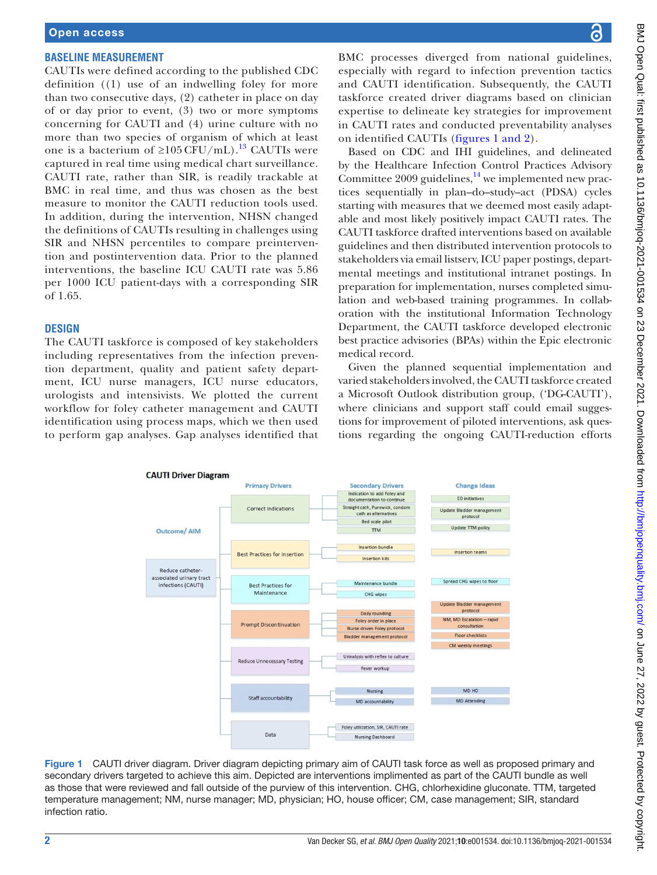#### **BASELINE MEASUREMENT**

CAUTIs were defined according to the published CDC definition ((1) use of an indwelling foley for more than two consecutive days, (2) catheter in place on day of or day prior to event, (3) two or more symptoms concerning for CAUTI and (4) urine culture with no more than two species of organism of which at least one is a bacterium of ≥105 CFU/mL).<sup>13</sup> CAUTIs were captured in real time using medical chart surveillance. CAUTI rate, rather than SIR, is readily trackable at BMC in real time, and thus was chosen as the best measure to monitor the CAUTI reduction tools used. In addition, during the intervention, NHSN changed the definitions of CAUTIs resulting in challenges using SIR and NHSN percentiles to compare preintervention and postintervention data. Prior to the planned interventions, the baseline ICU CAUTI rate was 5.86 per 1000 ICU patient-days with a corresponding SIR of 1.65.

#### **DESIGN**

The CAUTI taskforce is composed of key stakeholders including representatives from the infection prevention department, quality and patient safety department, ICU nurse managers, ICU nurse educators, urologists and intensivists. We plotted the current workflow for foley catheter management and CAUTI identification using process maps, which we then used to perform gap analyses. Gap analyses identified that BMC processes diverged from national guidelines, especially with regard to infection prevention tactics and CAUTI identification. Subsequently, the CAUTI taskforce created driver diagrams based on clinician expertise to delineate key strategies for improvement in CAUTI rates and conducted preventability analyses on identified CAUTIs (figures [1 and 2\)](#page-1-0).

Based on CDC and IHI guidelines, and delineated by the Healthcare Infection Control Practices Advisory Committee 2009 guidelines, $14$  we implemented new practices sequentially in plan–do–study–act (PDSA) cycles starting with measures that we deemed most easily adaptable and most likely positively impact CAUTI rates. The CAUTI taskforce drafted interventions based on available guidelines and then distributed intervention protocols to stakeholders via email listserv, ICU paper postings, departmental meetings and institutional intranet postings. In preparation for implementation, nurses completed simulation and web-based training programmes. In collaboration with the institutional Information Technology Department, the CAUTI taskforce developed electronic best practice advisories (BPAs) within the Epic electronic medical record.

Given the planned sequential implementation and varied stakeholders involved, the CAUTI taskforce created a Microsoft Outlook distribution group, ('DG-CAUTI'), where clinicians and support staff could email suggestions for improvement of piloted interventions, ask questions regarding the ongoing CAUTI-reduction efforts



<span id="page-1-0"></span>Figure 1 CAUTI driver diagram. Driver diagram depicting primary aim of CAUTI task force as well as proposed primary and secondary drivers targeted to achieve this aim. Depicted are interventions implimented as part of the CAUTI bundle as well as those that were reviewed and fall outside of the purview of this intervention. CHG, chlorhexidine gluconate. TTM, targeted temperature management; NM, nurse manager; MD, physician; HO, house officer; CM, case management; SIR, standard infection ratio.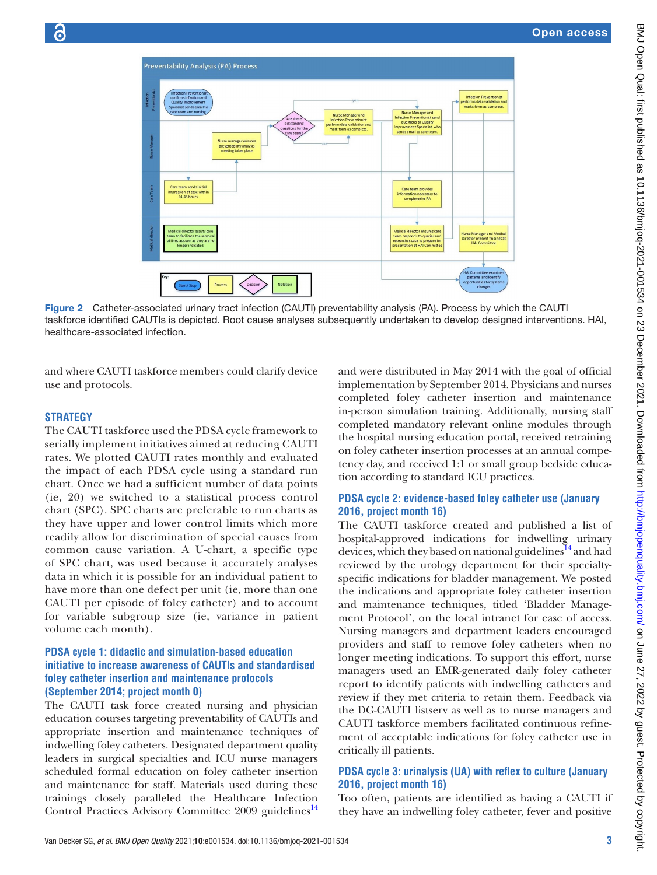

Figure 2 Catheter-associated urinary tract infection (CAUTI) preventability analysis (PA). Process by which the CAUTI taskforce identified CAUTIs is depicted. Root cause analyses subsequently undertaken to develop designed interventions. HAI, healthcare-associated infection.

and where CAUTI taskforce members could clarify device use and protocols.

# **STRATEGY**

The CAUTI taskforce used the PDSA cycle framework to serially implement initiatives aimed at reducing CAUTI rates. We plotted CAUTI rates monthly and evaluated the impact of each PDSA cycle using a standard run chart. Once we had a sufficient number of data points (ie, 20) we switched to a statistical process control chart (SPC). SPC charts are preferable to run charts as they have upper and lower control limits which more readily allow for discrimination of special causes from common cause variation. A U-chart, a specific type of SPC chart, was used because it accurately analyses data in which it is possible for an individual patient to have more than one defect per unit (ie, more than one CAUTI per episode of foley catheter) and to account for variable subgroup size (ie, variance in patient volume each month).

#### **PDSA cycle 1: didactic and simulation-based education initiative to increase awareness of CAUTIs and standardised foley catheter insertion and maintenance protocols (September 2014; project month 0)**

The CAUTI task force created nursing and physician education courses targeting preventability of CAUTIs and appropriate insertion and maintenance techniques of indwelling foley catheters. Designated department quality leaders in surgical specialties and ICU nurse managers scheduled formal education on foley catheter insertion and maintenance for staff. Materials used during these trainings closely paralleled the Healthcare Infection Control Practices Advisory Committee 2009 guidelines<sup>[14](#page-5-10)</sup>

and were distributed in May 2014 with the goal of official implementation by September 2014. Physicians and nurses completed foley catheter insertion and maintenance in-person simulation training. Additionally, nursing staff completed mandatory relevant online modules through the hospital nursing education portal, received retraining on foley catheter insertion processes at an annual competency day, and received 1:1 or small group bedside education according to standard ICU practices.

# **PDSA cycle 2: evidence-based foley catheter use (January 2016, project month 16)**

The CAUTI taskforce created and published a list of hospital-approved indications for indwelling urinary devices, which they based on national guidelines<sup>14</sup> and had reviewed by the urology department for their specialtyspecific indications for bladder management. We posted the indications and appropriate foley catheter insertion and maintenance techniques, titled 'Bladder Management Protocol', on the local intranet for ease of access. Nursing managers and department leaders encouraged providers and staff to remove foley catheters when no longer meeting indications. To support this effort, nurse managers used an EMR-generated daily foley catheter report to identify patients with indwelling catheters and review if they met criteria to retain them. Feedback via the DG-CAUTI listserv as well as to nurse managers and CAUTI taskforce members facilitated continuous refinement of acceptable indications for foley catheter use in critically ill patients.

# **PDSA cycle 3: urinalysis (UA) with reflex to culture (January 2016, project month 16)**

Too often, patients are identified as having a CAUTI if they have an indwelling foley catheter, fever and positive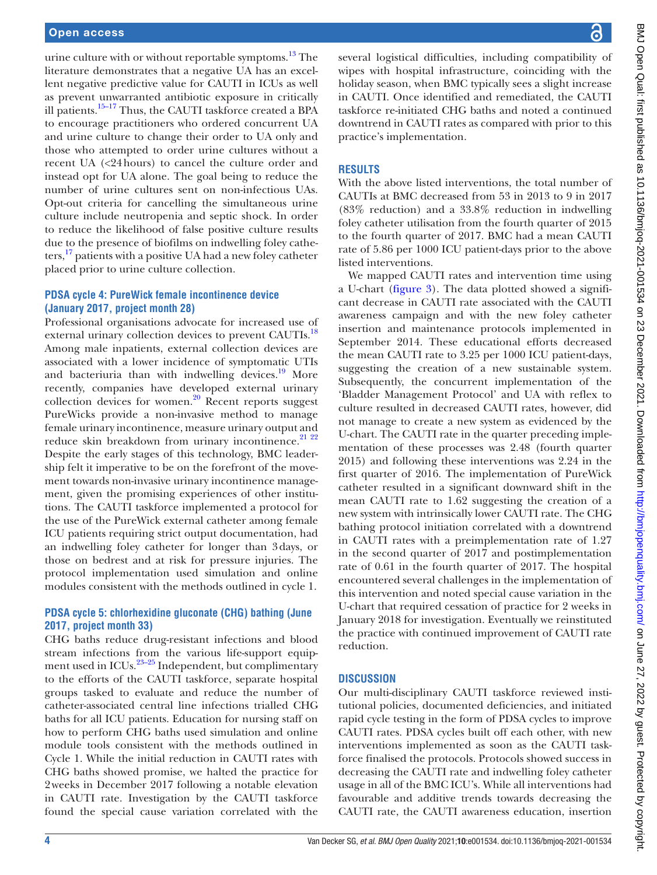urine culture with or without reportable symptoms. $13$  The literature demonstrates that a negative UA has an excellent negative predictive value for CAUTI in ICUs as well as prevent unwarranted antibiotic exposure in critically ill patients[.15–17](#page-5-11) Thus, the CAUTI taskforce created a BPA to encourage practitioners who ordered concurrent UA and urine culture to change their order to UA only and those who attempted to order urine cultures without a recent UA (<24hours) to cancel the culture order and instead opt for UA alone. The goal being to reduce the number of urine cultures sent on non-infectious UAs. Opt-out criteria for cancelling the simultaneous urine culture include neutropenia and septic shock. In order to reduce the likelihood of false positive culture results due to the presence of biofilms on indwelling foley catheters, $^{17}$  patients with a positive UA had a new foley catheter placed prior to urine culture collection.

## **PDSA cycle 4: PureWick female incontinence device (January 2017, project month 28)**

Professional organisations advocate for increased use of external urinary collection devices to prevent CAUTIs.<sup>18</sup> Among male inpatients, external collection devices are associated with a lower incidence of symptomatic UTIs and bacteriuria than with indwelling devices. $19$  More recently, companies have developed external urinary collection devices for women.<sup>20</sup> Recent reports suggest PureWicks provide a non-invasive method to manage female urinary incontinence, measure urinary output and reduce skin breakdown from urinary incontinence. $21$   $22$ Despite the early stages of this technology, BMC leadership felt it imperative to be on the forefront of the movement towards non-invasive urinary incontinence management, given the promising experiences of other institutions. The CAUTI taskforce implemented a protocol for the use of the PureWick external catheter among female ICU patients requiring strict output documentation, had an indwelling foley catheter for longer than 3days, or those on bedrest and at risk for pressure injuries. The protocol implementation used simulation and online modules consistent with the methods outlined in cycle 1.

# **PDSA cycle 5: chlorhexidine gluconate (CHG) bathing (June 2017, project month 33)**

CHG baths reduce drug-resistant infections and blood stream infections from the various life-support equipment used in  $\text{ICUs.}^{23-25}$  Independent, but complimentary to the efforts of the CAUTI taskforce, separate hospital groups tasked to evaluate and reduce the number of catheter-associated central line infections trialled CHG baths for all ICU patients. Education for nursing staff on how to perform CHG baths used simulation and online module tools consistent with the methods outlined in Cycle 1. While the initial reduction in CAUTI rates with CHG baths showed promise, we halted the practice for 2weeks in December 2017 following a notable elevation in CAUTI rate. Investigation by the CAUTI taskforce found the special cause variation correlated with the

several logistical difficulties, including compatibility of wipes with hospital infrastructure, coinciding with the holiday season, when BMC typically sees a slight increase in CAUTI. Once identified and remediated, the CAUTI taskforce re-initiated CHG baths and noted a continued downtrend in CAUTI rates as compared with prior to this practice's implementation.

# **RESULTS**

With the above listed interventions, the total number of CAUTIs at BMC decreased from 53 in 2013 to 9 in 2017 (83% reduction) and a 33.8% reduction in indwelling foley catheter utilisation from the fourth quarter of 2015 to the fourth quarter of 2017. BMC had a mean CAUTI rate of 5.86 per 1000 ICU patient-days prior to the above listed interventions.

We mapped CAUTI rates and intervention time using a U-chart [\(figure](#page-4-0) 3). The data plotted showed a significant decrease in CAUTI rate associated with the CAUTI awareness campaign and with the new foley catheter insertion and maintenance protocols implemented in September 2014. These educational efforts decreased the mean CAUTI rate to 3.25 per 1000 ICU patient-days, suggesting the creation of a new sustainable system. Subsequently, the concurrent implementation of the 'Bladder Management Protocol' and UA with reflex to culture resulted in decreased CAUTI rates, however, did not manage to create a new system as evidenced by the U-chart. The CAUTI rate in the quarter preceding implementation of these processes was 2.48 (fourth quarter 2015) and following these interventions was 2.24 in the first quarter of 2016. The implementation of PureWick catheter resulted in a significant downward shift in the mean CAUTI rate to 1.62 suggesting the creation of a new system with intrinsically lower CAUTI rate. The CHG bathing protocol initiation correlated with a downtrend in CAUTI rates with a preimplementation rate of 1.27 in the second quarter of 2017 and postimplementation rate of 0.61 in the fourth quarter of 2017. The hospital encountered several challenges in the implementation of this intervention and noted special cause variation in the U-chart that required cessation of practice for 2 weeks in January 2018 for investigation. Eventually we reinstituted the practice with continued improvement of CAUTI rate reduction.

## **DISCUSSION**

Our multi-disciplinary CAUTI taskforce reviewed institutional policies, documented deficiencies, and initiated rapid cycle testing in the form of PDSA cycles to improve CAUTI rates. PDSA cycles built off each other, with new interventions implemented as soon as the CAUTI taskforce finalised the protocols. Protocols showed success in decreasing the CAUTI rate and indwelling foley catheter usage in all of the BMC ICU's. While all interventions had favourable and additive trends towards decreasing the CAUTI rate, the CAUTI awareness education, insertion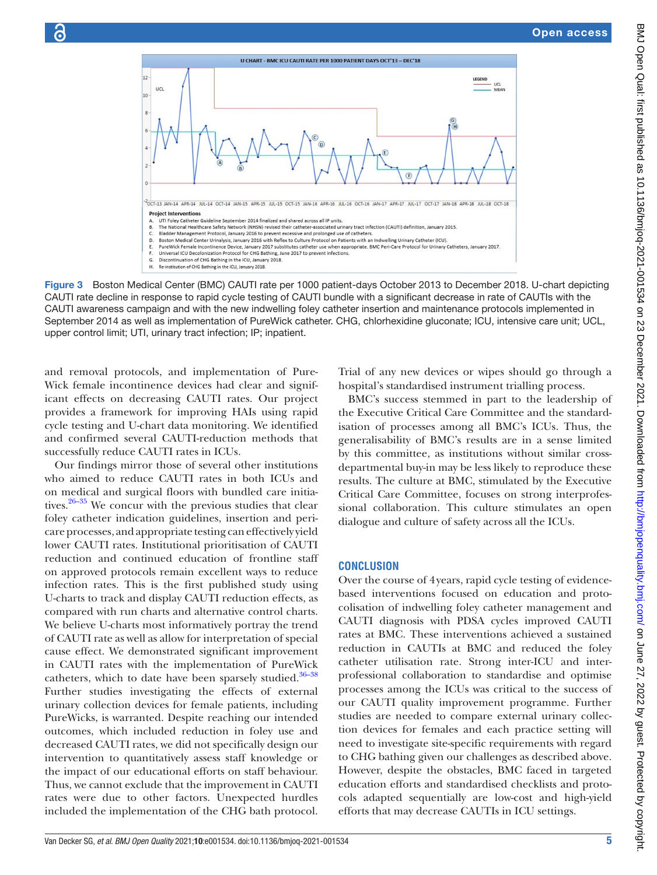

Figure 3 Boston Medical Center (BMC) CAUTI rate per 1000 patient-days October 2013 to December 2018. U-chart depicting CAUTI rate decline in response to rapid cycle testing of CAUTI bundle with a significant decrease in rate of CAUTIs with the CAUTI awareness campaign and with the new indwelling foley catheter insertion and maintenance protocols implemented in September 2014 as well as implementation of PureWick catheter. CHG, chlorhexidine gluconate; ICU, intensive care unit; UCL, upper control limit; UTI, urinary tract infection; IP; inpatient.

and removal protocols, and implementation of Pure-Wick female incontinence devices had clear and significant effects on decreasing CAUTI rates. Our project provides a framework for improving HAIs using rapid cycle testing and U-chart data monitoring. We identified and confirmed several CAUTI-reduction methods that successfully reduce CAUTI rates in ICUs.

Our findings mirror those of several other institutions who aimed to reduce CAUTI rates in both ICUs and on medical and surgical floors with bundled care initiatives. $26-35$  We concur with the previous studies that clear foley catheter indication guidelines, insertion and pericare processes, and appropriate testing can effectively yield lower CAUTI rates. Institutional prioritisation of CAUTI reduction and continued education of frontline staff on approved protocols remain excellent ways to reduce infection rates. This is the first published study using U-charts to track and display CAUTI reduction effects, as compared with run charts and alternative control charts. We believe U-charts most informatively portray the trend of CAUTI rate as well as allow for interpretation of special cause effect. We demonstrated significant improvement in CAUTI rates with the implementation of PureWick catheters, which to date have been sparsely studied. $36-38$ Further studies investigating the effects of external urinary collection devices for female patients, including PureWicks, is warranted. Despite reaching our intended outcomes, which included reduction in foley use and decreased CAUTI rates, we did not specifically design our intervention to quantitatively assess staff knowledge or the impact of our educational efforts on staff behaviour. Thus, we cannot exclude that the improvement in CAUTI rates were due to other factors. Unexpected hurdles included the implementation of the CHG bath protocol.

<span id="page-4-0"></span>Trial of any new devices or wipes should go through a hospital's standardised instrument trialling process.

BMC's success stemmed in part to the leadership of the Executive Critical Care Committee and the standardisation of processes among all BMC's ICUs. Thus, the generalisability of BMC's results are in a sense limited by this committee, as institutions without similar crossdepartmental buy-in may be less likely to reproduce these results. The culture at BMC, stimulated by the Executive Critical Care Committee, focuses on strong interprofessional collaboration. This culture stimulates an open dialogue and culture of safety across all the ICUs.

#### **CONCLUSION**

Over the course of 4years, rapid cycle testing of evidencebased interventions focused on education and protocolisation of indwelling foley catheter management and CAUTI diagnosis with PDSA cycles improved CAUTI rates at BMC. These interventions achieved a sustained reduction in CAUTIs at BMC and reduced the foley catheter utilisation rate. Strong inter-ICU and interprofessional collaboration to standardise and optimise processes among the ICUs was critical to the success of our CAUTI quality improvement programme. Further studies are needed to compare external urinary collection devices for females and each practice setting will need to investigate site-specific requirements with regard to CHG bathing given our challenges as described above. However, despite the obstacles, BMC faced in targeted education efforts and standardised checklists and protocols adapted sequentially are low-cost and high-yield efforts that may decrease CAUTIs in ICU settings.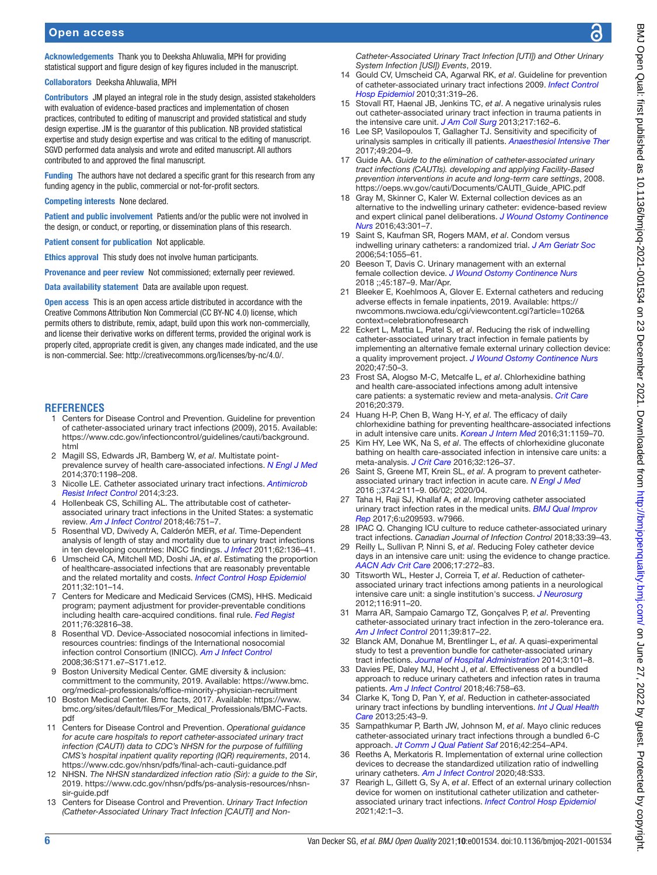Acknowledgements Thank you to Deeksha Ahluwalia, MPH for providing statistical support and figure design of key figures included in the manuscript.

Collaborators Deeksha Ahluwalia, MPH

Contributors JM played an integral role in the study design, assisted stakeholders with evaluation of evidence-based practices and implementation of chosen practices, contributed to editing of manuscript and provided statistical and study design expertise. JM is the guarantor of this publication. NB provided statistical expertise and study design expertise and was critical to the editing of manuscript. SGVD performed data analysis and wrote and edited manuscript. All authors contributed to and approved the final manuscript.

Funding The authors have not declared a specific grant for this research from any funding agency in the public, commercial or not-for-profit sectors.

Competing interests None declared.

Patient and public involvement Patients and/or the public were not involved in the design, or conduct, or reporting, or dissemination plans of this research.

Patient consent for publication Not applicable.

Ethics approval This study does not involve human participants.

Provenance and peer review Not commissioned; externally peer reviewed.

Data availability statement Data are available upon request.

Open access This is an open access article distributed in accordance with the Creative Commons Attribution Non Commercial (CC BY-NC 4.0) license, which permits others to distribute, remix, adapt, build upon this work non-commercially, and license their derivative works on different terms, provided the original work is properly cited, appropriate credit is given, any changes made indicated, and the use is non-commercial. See: [http://creativecommons.org/licenses/by-nc/4.0/.](http://creativecommons.org/licenses/by-nc/4.0/)

#### <span id="page-5-0"></span>**REFERENCES**

- 1 Centers for Disease Control and Prevention. Guideline for prevention of catheter-associated urinary tract infections (2009), 2015. Available: [https://www.cdc.gov/infectioncontrol/guidelines/cauti/background.](https://www.cdc.gov/infectioncontrol/guidelines/cauti/background.html) [html](https://www.cdc.gov/infectioncontrol/guidelines/cauti/background.html)
- <span id="page-5-1"></span>2 Magill SS, Edwards JR, Bamberg W, *et al*. Multistate pointprevalence survey of health care-associated infections. *[N Engl J Med](http://dx.doi.org/10.1056/NEJMoa1306801)* 2014;370:1198–208.
- <span id="page-5-2"></span>3 Nicolle LE. Catheter associated urinary tract infections. *[Antimicrob](http://dx.doi.org/10.1186/2047-2994-3-23)  [Resist Infect Control](http://dx.doi.org/10.1186/2047-2994-3-23)* 2014;3:23.
- 4 Hollenbeak CS, Schilling AL. The attributable cost of catheterassociated urinary tract infections in the United States: a systematic review. *[Am J Infect Control](http://dx.doi.org/10.1016/j.ajic.2018.01.015)* 2018;46:751–7.
- <span id="page-5-5"></span>5 Rosenthal VD, Dwivedy A, Calderón MER, *et al*. Time-Dependent analysis of length of stay and mortality due to urinary tract infections in ten developing countries: INICC findings. *[J Infect](http://dx.doi.org/10.1016/j.jinf.2010.12.004)* 2011;62:136–41.
- <span id="page-5-3"></span>6 Umscheid CA, Mitchell MD, Doshi JA, *et al*. Estimating the proportion of healthcare-associated infections that are reasonably preventable and the related mortality and costs. *[Infect Control Hosp Epidemiol](http://dx.doi.org/10.1086/657912)* 2011;32:101–14.
- <span id="page-5-4"></span>7 Centers for Medicare and Medicaid Services (CMS), HHS. Medicaid program; payment adjustment for provider-preventable conditions including health care-acquired conditions. final rule. *[Fed Regist](http://www.ncbi.nlm.nih.gov/pubmed/21644388)* 2011;76:32816–38.
- 8 Rosenthal VD. Device-Associated nosocomial infections in limitedresources countries: findings of the International nosocomial infection control Consortium (INICC). *[Am J Infect Control](http://dx.doi.org/10.1016/j.ajic.2008.10.009)* 2008;36:S171.e7–S171.e12.
- <span id="page-5-6"></span>9 Boston University Medical Center. GME diversity & inclusion: committment to the community, 2019. Available: [https://www.bmc.](https://www.bmc.org/medical-professionals/office-minority-physician-recruitment) [org/medical-professionals/office-minority-physician-recruitment](https://www.bmc.org/medical-professionals/office-minority-physician-recruitment)
- 10 Boston Medical Center. Bmc facts, 2017. Available: [https://www.](https://www.bmc.org/sites/default/files/For_Medical_Professionals/BMC-Facts.pdf) [bmc.org/sites/default/files/For\\_Medical\\_Professionals/BMC-Facts.](https://www.bmc.org/sites/default/files/For_Medical_Professionals/BMC-Facts.pdf) [pdf](https://www.bmc.org/sites/default/files/For_Medical_Professionals/BMC-Facts.pdf)
- <span id="page-5-7"></span>11 Centers for Disease Control and Prevention. *Operational guidance for acute care hospitals to report catheter-associated urinary tract infection (CAUTI) data to CDC's NHSN for the purpose of fulfilling CMS's hospital inpatient quality reporting (IQR) requirements*, 2014. <https://www.cdc.gov/nhsn/pdfs/final-ach-cauti-guidance.pdf>
- <span id="page-5-8"></span>12 NHSN. *The NHSN standardized infection ratio (Sir): a guide to the Sir*, 2019. [https://www.cdc.gov/nhsn/pdfs/ps-analysis-resources/nhsn](https://www.cdc.gov/nhsn/pdfs/ps-analysis-resources/nhsn-sir-guide.pdf)[sir-guide.pdf](https://www.cdc.gov/nhsn/pdfs/ps-analysis-resources/nhsn-sir-guide.pdf)
- <span id="page-5-9"></span>13 Centers for Disease Control and Prevention. *Urinary Tract Infection (Catheter-Associated Urinary Tract Infection [CAUTI] and Non-*

*Catheter-Associated Urinary Tract Infection [UTI]) and Other Urinary System Infection [USI]) Events*, 2019.

- <span id="page-5-10"></span>14 Gould CV, Umscheid CA, Agarwal RK, *et al*. Guideline for prevention of catheter-associated urinary tract infections 2009. *[Infect Control](http://dx.doi.org/10.1086/651091)  [Hosp Epidemiol](http://dx.doi.org/10.1086/651091)* 2010;31:319–26.
- <span id="page-5-11"></span>15 Stovall RT, Haenal JB, Jenkins TC, *et al*. A negative urinalysis rules out catheter-associated urinary tract infection in trauma patients in the intensive care unit. *[J Am Coll Surg](http://dx.doi.org/10.1016/j.jamcollsurg.2013.02.030)* 2013;217:162–6.
- 16 Lee SP, Vasilopoulos T, Gallagher TJ. Sensitivity and specificity of urinalysis samples in critically ill patients. *[Anaesthesiol Intensive Ther](http://dx.doi.org/10.5603/AIT.a2017.0036)* 2017;49:204–9.
- <span id="page-5-12"></span>17 Guide AA. *Guide to the elimination of catheter-associated urinary tract infections (CAUTIs). developing and applying Facility-Based prevention interventions in acute and long-term care settings*, 2008. [https://oeps.wv.gov/cauti/Documents/CAUTI\\_Guide\\_APIC.pdf](https://oeps.wv.gov/cauti/Documents/CAUTI_Guide_APIC.pdf)
- <span id="page-5-13"></span>18 Gray M, Skinner C, Kaler W. External collection devices as an alternative to the indwelling urinary catheter: evidence-based review and expert clinical panel deliberations. *[J Wound Ostomy Continence](http://dx.doi.org/10.1097/WON.0000000000000220)  [Nurs](http://dx.doi.org/10.1097/WON.0000000000000220)* 2016;43:301–7.
- <span id="page-5-14"></span>19 Saint S, Kaufman SR, Rogers MAM, *et al*. Condom versus indwelling urinary catheters: a randomized trial. *[J Am Geriatr Soc](http://dx.doi.org/10.1111/j.1532-5415.2006.00785.x)* 2006;54:1055–61.
- <span id="page-5-15"></span>20 Beeson T, Davis C. Urinary management with an external female collection device. *[J Wound Ostomy Continence Nurs](http://dx.doi.org/10.1097/WON.0000000000000417)* 2018 ;;45:187–9. Mar/Apr.
- <span id="page-5-16"></span>21 Bleeker E, Koehlmoos A, Glover E. External catheters and reducing adverse effects in female inpatients, 2019. Available: [https://](https://nwcommons.nwciowa.edu/cgi/viewcontent.cgi?article=1026&context=celebrationofresearch) [nwcommons.nwciowa.edu/cgi/viewcontent.cgi?article=1026&](https://nwcommons.nwciowa.edu/cgi/viewcontent.cgi?article=1026&context=celebrationofresearch) [context=celebrationofresearch](https://nwcommons.nwciowa.edu/cgi/viewcontent.cgi?article=1026&context=celebrationofresearch)
- 22 Eckert L, Mattia L, Patel S, *et al*. Reducing the risk of indwelling catheter-associated urinary tract infection in female patients by implementing an alternative female external urinary collection device: a quality improvement project. *[J Wound Ostomy Continence Nurs](http://dx.doi.org/10.1097/WON.0000000000000601)* 2020;47:50–3.
- <span id="page-5-17"></span>23 Frost SA, Alogso M-C, Metcalfe L, *et al*. Chlorhexidine bathing and health care-associated infections among adult intensive care patients: a systematic review and meta-analysis. *[Crit Care](http://dx.doi.org/10.1186/s13054-016-1553-5)* 2016;20:379.
- 24 Huang H-P, Chen B, Wang H-Y, *et al*. The efficacy of daily chlorhexidine bathing for preventing healthcare-associated infections in adult intensive care units. *[Korean J Intern Med](http://dx.doi.org/10.3904/kjim.2015.240)* 2016;31:1159–70.
- 25 Kim HY, Lee WK, Na S, *et al*. The effects of chlorhexidine gluconate bathing on health care-associated infection in intensive care units: a meta-analysis. *[J Crit Care](http://dx.doi.org/10.1016/j.jcrc.2015.11.011)* 2016;32:126–37.
- <span id="page-5-18"></span>26 Saint S, Greene MT, Krein SL, *et al*. A program to prevent catheterassociated urinary tract infection in acute care. *[N Engl J Med](http://dx.doi.org/10.1056/NEJMoa1504906)* 2016 ;;374:2111–9. 06/02; 2020/04.
- 27 Taha H, Raji SJ, Khallaf A, *et al*. Improving catheter associated urinary tract infection rates in the medical units. *[BMJ Qual Improv](http://dx.doi.org/10.1136/bmjquality.u209593.w7966)  [Rep](http://dx.doi.org/10.1136/bmjquality.u209593.w7966)* 2017;6:u209593. w7966.
- 28 IPAC Q. Changing ICU culture to reduce catheter-associated urinary tract infections. *Canadian Journal of Infection Control* 2018;33:39–43.
- 29 Reilly L, Sullivan P, Ninni S, *et al*. Reducing Foley catheter device days in an intensive care unit: using the evidence to change practice. *[AACN Adv Crit Care](http://dx.doi.org/10.4037/15597768-2006-3006)* 2006;17:272–83.
- 30 Titsworth WL, Hester J, Correia T, *et al*. Reduction of catheterassociated urinary tract infections among patients in a neurological intensive care unit: a single institution's success. *[J Neurosurg](http://dx.doi.org/10.3171/2011.11.JNS11974)* 2012;116:911–20.
- 31 Marra AR, Sampaio Camargo TZ, Gonçalves P, *et al*. Preventing catheter-associated urinary tract infection in the zero-tolerance era. *[Am J Infect Control](http://dx.doi.org/10.1016/j.ajic.2011.01.013)* 2011;39:817–22.
- 32 Blanck AM, Donahue M, Brentlinger L, *et al*. A quasi-experimental study to test a prevention bundle for catheter-associated urinary tract infections. *[Journal of Hospital Administration](http://dx.doi.org/10.5430/jha.v3n4p101)* 2014;3:101–8.
- 33 Davies PE, Daley MJ, Hecht J, *et al*. Effectiveness of a bundled approach to reduce urinary catheters and infection rates in trauma patients. *[Am J Infect Control](http://dx.doi.org/10.1016/j.ajic.2017.11.032)* 2018;46:758–63.
- 34 Clarke K, Tong D, Pan Y, *et al*. Reduction in catheter-associated urinary tract infections by bundling interventions. *[Int J Qual Health](http://dx.doi.org/10.1093/intqhc/mzs077)  [Care](http://dx.doi.org/10.1093/intqhc/mzs077)* 2013;25:43–9.
- 35 Sampathkumar P, Barth JW, Johnson M, *et al*. Mayo clinic reduces catheter-associated urinary tract infections through a bundled 6-C approach. *[Jt Comm J Qual Patient Saf](http://dx.doi.org/10.1016/S1553-7250(16)42033-7)* 2016;42:254–AP4.
- <span id="page-5-19"></span>36 Reeths A, Merkatoris R. Implementation of external urine collection devices to decrease the standardized utilization ratio of indwelling urinary catheters. *[Am J Infect Control](http://dx.doi.org/10.1016/j.ajic.2020.06.086)* 2020;48:S33.
- 37 Rearigh L, Gillett G, Sy A, *et al*. Effect of an external urinary collection device for women on institutional catheter utilization and catheterassociated urinary tract infections. *[Infect Control Hosp Epidemiol](http://dx.doi.org/10.1017/ice.2020.1259)* 2021;42:1–3.